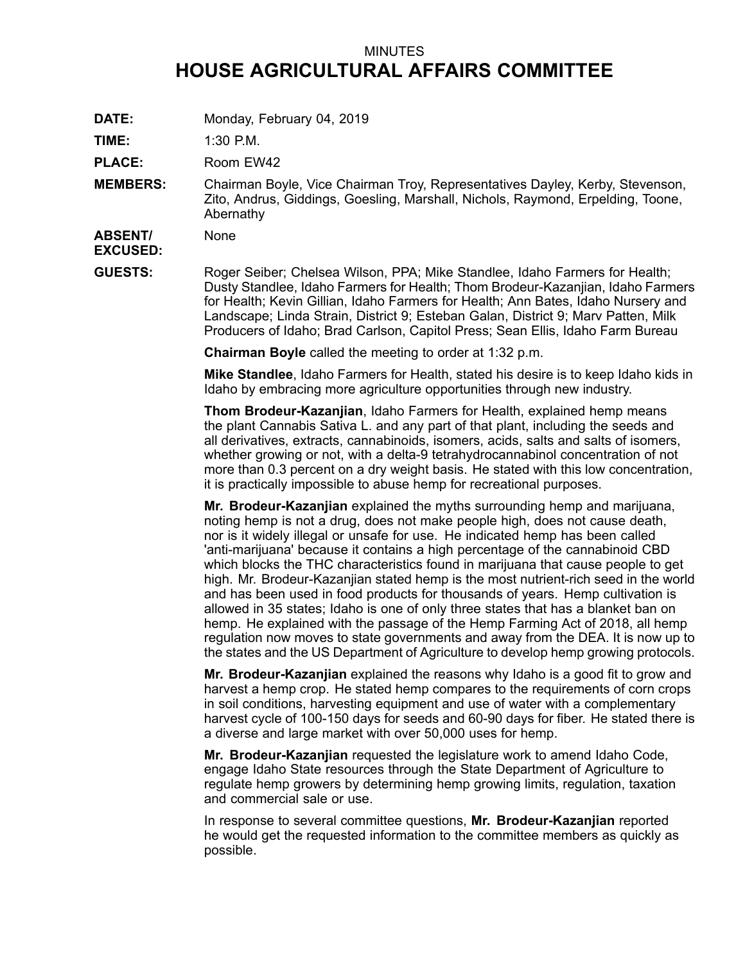## MINUTES **HOUSE AGRICULTURAL AFFAIRS COMMITTEE**

**DATE:** Monday, February 04, 2019

**TIME:** 1:30 P.M.

PLACE: Room EW42

**MEMBERS:** Chairman Boyle, Vice Chairman Troy, Representatives Dayley, Kerby, Stevenson, Zito, Andrus, Giddings, Goesling, Marshall, Nichols, Raymond, Erpelding, Toone, Abernathy

**ABSENT/ EXCUSED:** None

**GUESTS:** Roger Seiber; Chelsea Wilson, PPA; Mike Standlee, Idaho Farmers for Health; Dusty Standlee, Idaho Farmers for Health; Thom Brodeur-Kazanjian, Idaho Farmers for Health; Kevin Gillian, Idaho Farmers for Health; Ann Bates, Idaho Nursery and Landscape; Linda Strain, District 9; Esteban Galan, District 9; Marv Patten, Milk Producers of Idaho; Brad Carlson, Capitol Press; Sean Ellis, Idaho Farm Bureau

**Chairman Boyle** called the meeting to order at 1:32 p.m.

**Mike Standlee**, Idaho Farmers for Health, stated his desire is to keep Idaho kids in Idaho by embracing more agriculture opportunities through new industry.

**Thom Brodeur-Kazanjian**, Idaho Farmers for Health, explained hemp means the plant Cannabis Sativa L. and any part of that plant, including the seeds and all derivatives, extracts, cannabinoids, isomers, acids, salts and salts of isomers, whether growing or not, with <sup>a</sup> delta-9 tetrahydrocannabinol concentration of not more than 0.3 percent on <sup>a</sup> dry weight basis. He stated with this low concentration, it is practically impossible to abuse hemp for recreational purposes.

**Mr. Brodeur-Kazanjian** explained the myths surrounding hemp and marijuana, noting hemp is not <sup>a</sup> drug, does not make people high, does not cause death, nor is it widely illegal or unsafe for use. He indicated hemp has been called 'anti-marijuana' because it contains <sup>a</sup> high percentage of the cannabinoid CBD which blocks the THC characteristics found in marijuana that cause people to get high. Mr. Brodeur-Kazanjian stated hemp is the most nutrient-rich seed in the world and has been used in food products for thousands of years. Hemp cultivation is allowed in 35 states; Idaho is one of only three states that has <sup>a</sup> blanket ban on hemp. He explained with the passage of the Hemp Farming Act of 2018, all hemp regulation now moves to state governments and away from the DEA. It is now up to the states and the US Department of Agriculture to develop hemp growing protocols.

**Mr. Brodeur-Kazanjian** explained the reasons why Idaho is <sup>a</sup> good fit to grow and harvest <sup>a</sup> hemp crop. He stated hemp compares to the requirements of corn crops in soil conditions, harvesting equipment and use of water with <sup>a</sup> complementary harvest cycle of 100-150 days for seeds and 60-90 days for fiber. He stated there is <sup>a</sup> diverse and large market with over 50,000 uses for hemp.

**Mr. Brodeur-Kazanjian** requested the legislature work to amend Idaho Code, engage Idaho State resources through the State Department of Agriculture to regulate hemp growers by determining hemp growing limits, regulation, taxation and commercial sale or use.

In response to several committee questions, **Mr. Brodeur-Kazanjian** reported he would get the requested information to the committee members as quickly as possible.